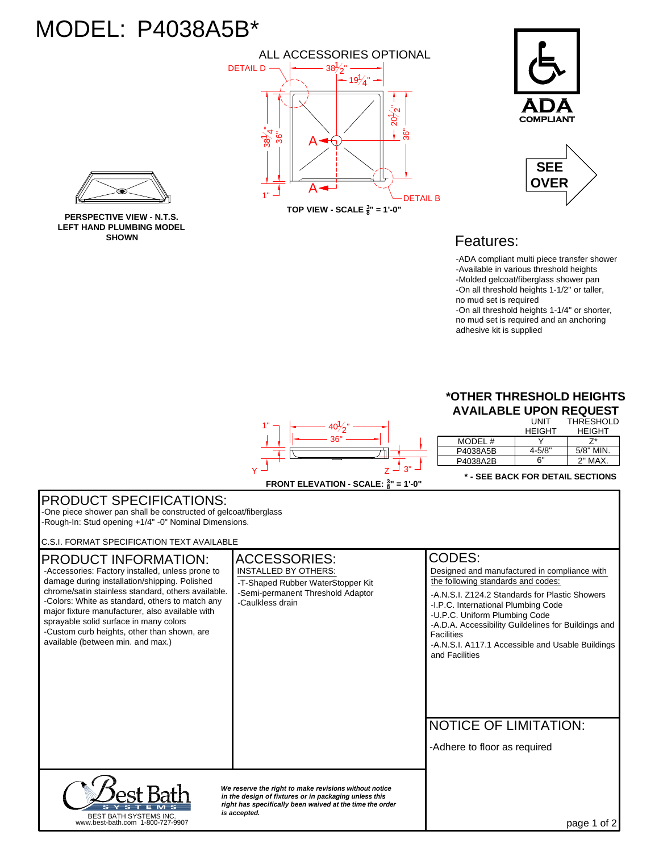## MODEL: P4038A5B\*







## Features:

-ADA compliant multi piece transfer shower -Available in various threshold heights -Molded gelcoat/fiberglass shower pan -On all threshold heights 1-1/2" or taller, no mud set is required -On all threshold heights 1-1/4" or shorter, no mud set is required and an anchoring adhesive kit is supplied



|          | UNIT          | THRESHOLD     |
|----------|---------------|---------------|
|          | <b>HEIGHT</b> | <b>HEIGHT</b> |
| MODEL#   |               |               |
| P4038A5B | $4 - 5/8"$    | $5/8"$ MIN.   |
| P4038A2B | 6"            | $2"$ MAX.     |
|          |               |               |

**\* - SEE BACK FOR DETAIL SECTIONS**

## *We reserve the right to make revisions without notice in the design of fixtures or in packaging unless this right has specifically been waived at the time the order is accepted.* page 1 of 2 NOTICE OF LIMITATION: ACCESSORIES: ICODES: PRODUCT SPECIFICATIONS: PRODUCT INFORMATION: BEST BATH SYSTEMS INC. www.best-bath.com 1-800-727-9907 -One piece shower pan shall be constructed of gelcoat/fiberglass -Rough-In: Stud opening +1/4" -0" Nominal Dimensions. C.S.I. FORMAT SPECIFICATION TEXT AVAILABLE -Colors: White as standard, others to match any major fixture manufacturer, also available with sprayable solid surface in many colors INSTALLED BY OTHERS: -Semi-permanent Threshold Adaptor -Caulkless drain Designed and manufactured in compliance with the following standards and codes: -Accessories: Factory installed, unless prone to damage during installation/shipping. Polished chrome/satin stainless standard, others available. -Custom curb heights, other than shown, are available (between min. and max.) -Adhere to floor as required -T-Shaped Rubber WaterStopper Kit -I.P.C. International Plumbing Code -U.P.C. Uniform Plumbing Code -A.N.S.I. Z124.2 Standards for Plastic Showers -A.D.A. Accessibility Guildelines for Buildings and Facilities -A.N.S.I. A117.1 Accessible and Usable Buildings and Facilities

**PERSPECTIVE VIEW - N.T.S. LEFT HAND PLUMBING MODEL SHOWN**

> **FRONT ELEVATION - SCALE:**  $\frac{3}{8}$ " = 1'-0" Z  $\mathsf{Y} \stackrel{\sqcup}{\longrightarrow} \mathsf{Z} \stackrel{\sqcup}{\longrightarrow} \mathsf{3}^n$

36"

 $40\frac{1}{2}$ "

1"